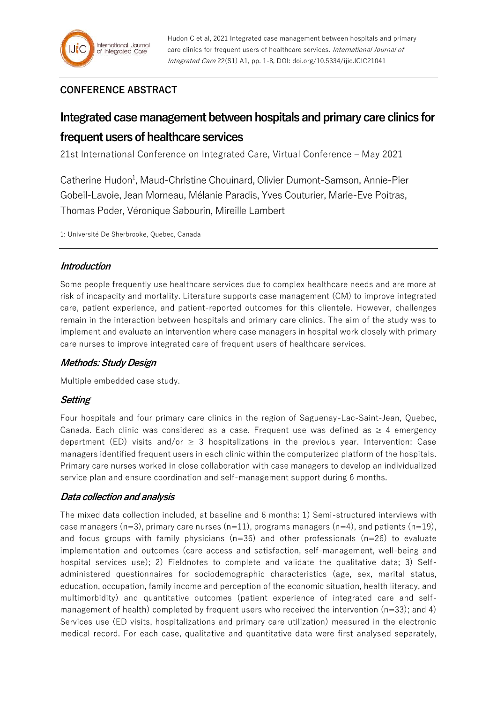# **CONFERENCE ABSTRACT**

# **Integrated case management between hospitals and primary care clinics for frequent users of healthcare services**

21st International Conference on Integrated Care, Virtual Conference – May 2021

Catherine Hudon<sup>1</sup>, Maud-Christine Chouinard, Olivier Dumont-Samson, Annie-Pier Gobeil-Lavoie, Jean Morneau, Mélanie Paradis, Yves Couturier, Marie-Eve Poitras, Thomas Poder, Véronique Sabourin, Mireille Lambert

1: Université De Sherbrooke, Quebec, Canada

## **Introduction**

Some people frequently use healthcare services due to complex healthcare needs and are more at risk of incapacity and mortality. Literature supports case management (CM) to improve integrated care, patient experience, and patient-reported outcomes for this clientele. However, challenges remain in the interaction between hospitals and primary care clinics. The aim of the study was to implement and evaluate an intervention where case managers in hospital work closely with primary care nurses to improve integrated care of frequent users of healthcare services.

## **Methods: Study Design**

Multiple embedded case study.

# **Setting**

Four hospitals and four primary care clinics in the region of Saguenay-Lac-Saint-Jean, Quebec, Canada. Each clinic was considered as a case. Frequent use was defined as  $\geq 4$  emergency department (ED) visits and/or  $\geq$  3 hospitalizations in the previous year. Intervention: Case managers identified frequent users in each clinic within the computerized platform of the hospitals. Primary care nurses worked in close collaboration with case managers to develop an individualized service plan and ensure coordination and self-management support during 6 months.

## **Data collection and analysis**

The mixed data collection included, at baseline and 6 months: 1) Semi-structured interviews with case managers (n=3), primary care nurses (n=11), programs managers (n=4), and patients (n=19), and focus groups with family physicians ( $n=36$ ) and other professionals ( $n=26$ ) to evaluate implementation and outcomes (care access and satisfaction, self-management, well-being and hospital services use); 2) Fieldnotes to complete and validate the qualitative data; 3) Selfadministered questionnaires for sociodemographic characteristics (age, sex, marital status, education, occupation, family income and perception of the economic situation, health literacy, and multimorbidity) and quantitative outcomes (patient experience of integrated care and selfmanagement of health) completed by frequent users who received the intervention ( $n=33$ ); and 4) Services use (ED visits, hospitalizations and primary care utilization) measured in the electronic medical record. For each case, qualitative and quantitative data were first analysed separately,